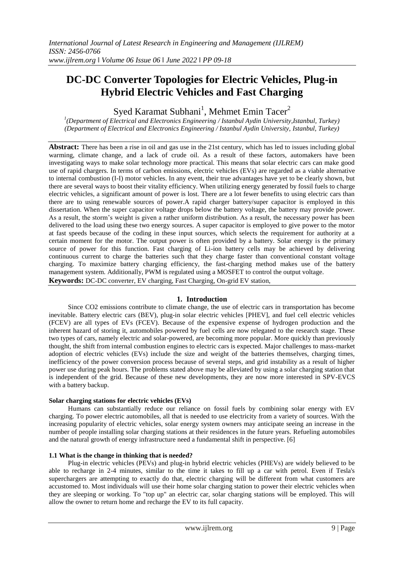# **DC-DC Converter Topologies for Electric Vehicles, Plug-in Hybrid Electric Vehicles and Fast Charging**

Syed Karamat Subhani<sup>1</sup>, Mehmet Emin Tacer<sup>2</sup>

*1 (Department of Electrical and Electronics Engineering / Istanbul Aydin University,Istanbul, Turkey) (Department of Electrical and Electronics Engineering / Istanbul Aydin University, Istanbul, Turkey)*

**Abstract:** There has been a rise in oil and gas use in the 21st century, which has led to issues including global warming, climate change, and a lack of crude oil. As a result of these factors, automakers have been investigating ways to make solar technology more practical. This means that solar electric cars can make good use of rapid chargers. In terms of carbon emissions, electric vehicles (EVs) are regarded as a viable alternative to internal combustion (I-I) motor vehicles. In any event, their true advantages have yet to be clearly shown, but there are several ways to boost their vitality efficiency. When utilizing energy generated by fossil fuels to charge electric vehicles, a significant amount of power is lost. There are a lot fewer benefits to using electric cars than there are to using renewable sources of power.A rapid charger battery/super capacitor is employed in this dissertation. When the super capacitor voltage drops below the battery voltage, the battery may provide power. As a result, the storm's weight is given a rather uniform distribution. As a result, the necessary power has been delivered to the load using these two energy sources. A super capacitor is employed to give power to the motor at fast speeds because of the coding in these input sources, which selects the requirement for authority at a certain moment for the motor. The output power is often provided by a battery. Solar energy is the primary source of power for this function. Fast charging of Li-ion battery cells may be achieved by delivering continuous current to charge the batteries such that they charge faster than conventional constant voltage charging. To maximize battery charging efficiency, the fast-charging method makes use of the battery management system. Additionally, PWM is regulated using a MOSFET to control the output voltage. **Keywords:** DC-DC converter, EV charging, Fast Charging, On-grid EV station,

#### **1. Introduction**

Since CO2 emissions contribute to climate change, the use of electric cars in transportation has become inevitable. Battery electric cars (BEV), plug-in solar electric vehicles [PHEV], and fuel cell electric vehicles (FCEV) are all types of EVs (FCEV). Because of the expensive expense of hydrogen production and the inherent hazard of storing it, automobiles powered by fuel cells are now relegated to the research stage. These two types of cars, namely electric and solar-powered, are becoming more popular. More quickly than previously thought, the shift from internal combustion engines to electric cars is expected. Major challenges to mass-market adoption of electric vehicles (EVs) include the size and weight of the batteries themselves, charging times, inefficiency of the power conversion process because of several steps, and grid instability as a result of higher power use during peak hours. The problems stated above may be alleviated by using a solar charging station that is independent of the grid. Because of these new developments, they are now more interested in SPV-EVCS with a battery backup.

#### **Solar charging stations for electric vehicles (EVs)**

Humans can substantially reduce our reliance on fossil fuels by combining solar energy with EV charging. To power electric automobiles, all that is needed to use electricity from a variety of sources. With the increasing popularity of electric vehicles, solar energy system owners may anticipate seeing an increase in the number of people installing solar charging stations at their residences in the future years. Refueling automobiles and the natural growth of energy infrastructure need a fundamental shift in perspective. [6]

#### **1.1 What is the change in thinking that is needed?**

Plug-in electric vehicles (PEVs) and plug-in hybrid electric vehicles (PHEVs) are widely believed to be able to recharge in 2-4 minutes, similar to the time it takes to fill up a car with petrol. Even if Tesla's superchargers are attempting to exactly do that, electric charging will be different from what customers are accustomed to. Most individuals will use their home solar charging station to power their electric vehicles when they are sleeping or working. To "top up" an electric car, solar charging stations will be employed. This will allow the owner to return home and recharge the EV to its full capacity.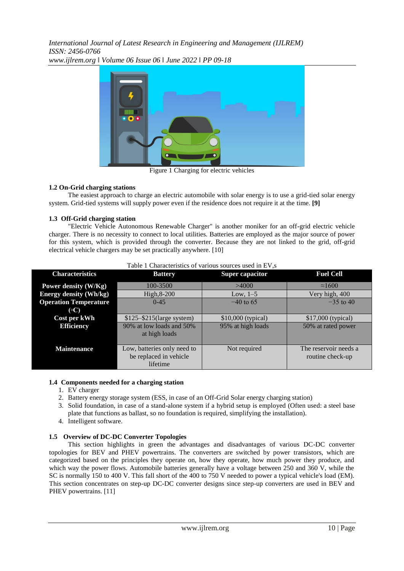*International Journal of Latest Research in Engineering and Management (IJLREM) ISSN: 2456-0766 www.ijlrem.org ǁ Volume 06 Issue 06 ǁ June 2022 ǁ PP 09-18*



Figure 1 Charging for electric vehicles

#### **1.2 On-Grid charging stations**

The easiest approach to charge an electric automobile with solar energy is to use a grid-tied solar energy system. Grid-tied systems will supply power even if the residence does not require it at the time. **[9]**

#### **1.3 Off-Grid charging station**

"Electric Vehicle Autonomous Renewable Charger" is another moniker for an off-grid electric vehicle charger. There is no necessity to connect to local utilities. Batteries are employed as the major source of power for this system, which is provided through the converter. Because they are not linked to the grid, off-grid electrical vehicle chargers may be set practically anywhere. [10]

| Table 1 Characteristics of various sources used in EV,s |                                                                   |                        |                                           |  |
|---------------------------------------------------------|-------------------------------------------------------------------|------------------------|-------------------------------------------|--|
| <b>Characteristics</b>                                  | <b>Battery</b>                                                    | <b>Super capacitor</b> | <b>Fuel Cell</b>                          |  |
| Power density (W/Kg)                                    | 100-3500                                                          | >4000                  | $\approx 1600$                            |  |
| <b>Energy density (Wh/kg)</b>                           | High, 8-200                                                       | Low, $1-5$             | Very high, 400                            |  |
| <b>Operation Temperature</b><br>$\rm ^{(o}C)$           | $0 - 45$                                                          | $-40$ to 65            | $-35$ to 40                               |  |
| Cost per kWh                                            | $$125 - $215$ (large system)                                      | $$10,000$ (typical)    | $$17,000$ (typical)                       |  |
| <b>Efficiency</b>                                       | 90% at low loads and 50%<br>at high loads                         | 95% at high loads      | 50% at rated power                        |  |
| <b>Maintenance</b>                                      | Low, batteries only need to<br>be replaced in vehicle<br>lifetime | Not required           | The reservoir needs a<br>routine check-up |  |

- **1.4 Components needed for a charging station** 1. EV charger
	- 2. Battery energy storage system (ESS, in case of an Off-Grid Solar energy charging station)
	- 3. Solid foundation, in case of a stand-alone system if a hybrid setup is employed (Often used: a steel base plate that functions as ballast, so no foundation is required, simplifying the installation).
	- 4. Intelligent software.

# **1.5 Overview of DC-DC Converter Topologies**

This section highlights in green the advantages and disadvantages of various DC-DC converter topologies for BEV and PHEV powertrains. The converters are switched by power transistors, which are categorized based on the principles they operate on, how they operate, how much power they produce, and which way the power flows. Automobile batteries generally have a voltage between 250 and 360 V, while the SC is normally 150 to 400 V. This fall short of the 400 to 750 V needed to power a typical vehicle's load (EM). This section concentrates on step-up DC-DC converter designs since step-up converters are used in BEV and PHEV powertrains. [11]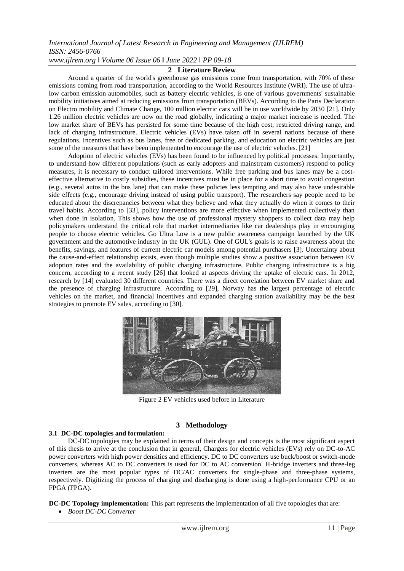### *www.ijlrem.org ǁ Volume 06 Issue 06 ǁ June 2022 ǁ PP 09-18*

#### **2 Literature Review**

Around a quarter of the world's greenhouse gas emissions come from transportation, with 70% of these emissions coming from road transportation, according to the World Resources Institute (WRI). The use of ultralow carbon emission automobiles, such as battery electric vehicles, is one of various governments' sustainable mobility initiatives aimed at reducing emissions from transportation (BEVs). According to the Paris Declaration on Electro mobility and Climate Change, 100 million electric cars will be in use worldwide by 2030 [21]. Only 1.26 million electric vehicles are now on the road globally, indicating a major market increase is needed. The low market share of BEVs has persisted for some time because of the high cost, restricted driving range, and lack of charging infrastructure. Electric vehicles (EVs) have taken off in several nations because of these regulations. Incentives such as bus lanes, free or dedicated parking, and education on electric vehicles are just some of the measures that have been implemented to encourage the use of electric vehicles. [21]

Adoption of electric vehicles (EVs) has been found to be influenced by political processes. Importantly, to understand how different populations (such as early adopters and mainstream customers) respond to policy measures, it is necessary to conduct tailored interventions. While free parking and bus lanes may be a costeffective alternative to costly subsidies, these incentives must be in place for a short time to avoid congestion (e.g., several autos in the bus lane) that can make these policies less tempting and may also have undesirable side effects (e.g., encourage driving instead of using public transport). The researchers say people need to be educated about the discrepancies between what they believe and what they actually do when it comes to their travel habits. According to [33], policy interventions are more effective when implemented collectively than when done in isolation. This shows how the use of professional mystery shoppers to collect data may help policymakers understand the critical role that market intermediaries like car dealerships play in encouraging people to choose electric vehicles. Go Ultra Low is a new public awareness campaign launched by the UK government and the automotive industry in the UK (GUL). One of GUL's goals is to raise awareness about the benefits, savings, and features of current electric car models among potential purchasers [3]. Uncertainty about the cause-and-effect relationship exists, even though multiple studies show a positive association between EV adoption rates and the availability of public charging infrastructure. Public charging infrastructure is a big concern, according to a recent study [26] that looked at aspects driving the uptake of electric cars. In 2012, research by [14] evaluated 30 different countries. There was a direct correlation between EV market share and the presence of charging infrastructure. According to [29], Norway has the largest percentage of electric vehicles on the market, and financial incentives and expanded charging station availability may be the best strategies to promote EV sales, according to [30].



Figure 2 EV vehicles used before in Literature

#### **3 Methodology**

#### **3.1 DC-DC topologies and formulation:**

DC-DC topologies may be explained in terms of their design and concepts is the most significant aspect of this thesis to arrive at the conclusion that in general, Chargers for electric vehicles (EVs) rely on DC-to-AC power converters with high power densities and efficiency. DC to DC converters use buck/boost or switch-mode converters, whereas AC to DC converters is used for DC to AC conversion. H-bridge inverters and three-leg inverters are the most popular types of DC/AC converters for single-phase and three-phase systems, respectively. Digitizing the process of charging and discharging is done using a high-performance CPU or an FPGA (FPGA).

**DC-DC Topology implementation:** This part represents the implementation of all five topologies that are:

*Boost DC-DC Converter*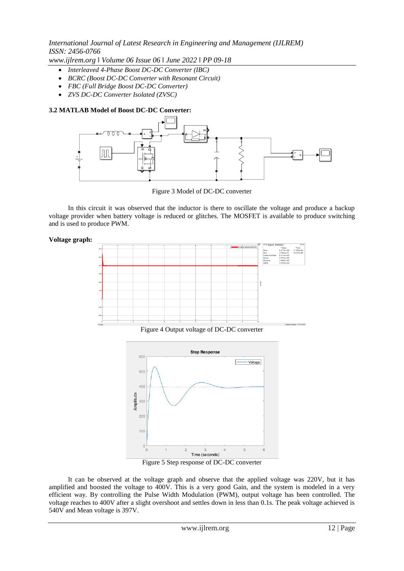*www.ijlrem.org ǁ Volume 06 Issue 06 ǁ June 2022 ǁ PP 09-18*

- *Interleaved 4-Phase Boost DC-DC Converter (IBC)*
- *BCRC (Boost DC-DC Converter with Resonant Circuit)*
- *FBC (Full Bridge Boost DC-DC Converter)*
- *ZVS DC-DC Converter Isolated (ZVSC)*

#### **3.2 MATLAB Model of Boost DC-DC Converter:**



Figure 3 Model of DC-DC converter

In this circuit it was observed that the inductor is there to oscillate the voltage and produce a backup voltage provider when battery voltage is reduced or glitches. The MOSFET is available to produce switching and is used to produce PWM.

#### **Voltage graph:**



Figure 4 Output voltage of DC-DC converter



Figure 5 Step response of DC-DC converter

It can be observed at the voltage graph and observe that the applied voltage was 220V, but it has amplified and boosted the voltage to 400V. This is a very good Gain, and the system is modeled in a very efficient way. By controlling the Pulse Width Modulation (PWM), output voltage has been controlled. The voltage reaches to 400V after a slight overshoot and settles down in less than 0.1s. The peak voltage achieved is 540V and Mean voltage is 397V.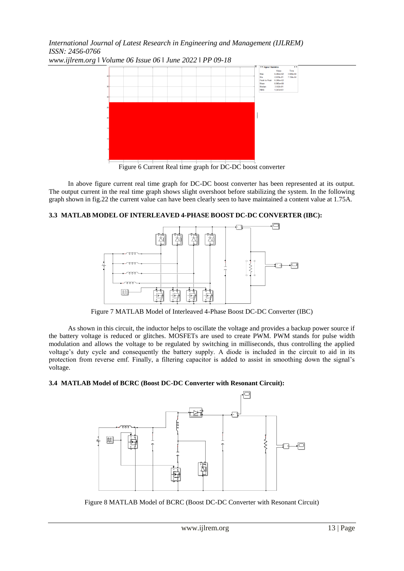

*www.ijlrem.org ǁ Volume 06 Issue 06 ǁ June 2022 ǁ PP 09-18*

Figure 6 Current Real time graph for DC-DC boost converter

In above figure current real time graph for DC-DC boost converter has been represented at its output. The output current in the real time graph shows slight overshoot before stabilizing the system. In the following graph shown in fig.22 the current value can have been clearly seen to have maintained a content value at 1.75A.

### **3.3 MATLAB MODEL OF INTERLEAVED 4-PHASE BOOST DC-DC CONVERTER (IBC):**



Figure 7 MATLAB Model of Interleaved 4-Phase Boost DC-DC Converter (IBC)

As shown in this circuit, the inductor helps to oscillate the voltage and provides a backup power source if the battery voltage is reduced or glitches. MOSFETs are used to create PWM. PWM stands for pulse width modulation and allows the voltage to be regulated by switching in milliseconds, thus controlling the applied voltage's duty cycle and consequently the battery supply. A diode is included in the circuit to aid in its protection from reverse emf. Finally, a filtering capacitor is added to assist in smoothing down the signal's voltage.

### **3.4 MATLAB Model of BCRC (Boost DC-DC Converter with Resonant Circuit):**



Figure 8 MATLAB Model of BCRC (Boost DC-DC Converter with Resonant Circuit)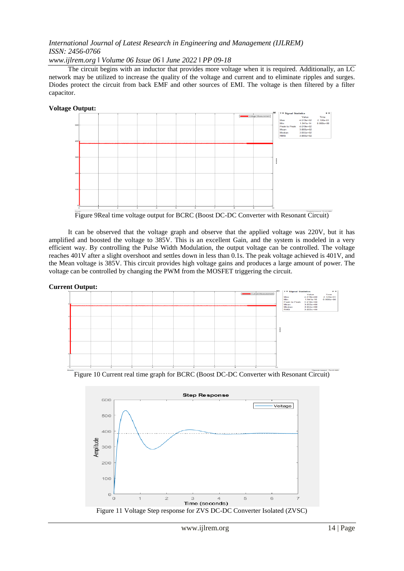*www.ijlrem.org ǁ Volume 06 Issue 06 ǁ June 2022 ǁ PP 09-18*

The circuit begins with an inductor that provides more voltage when it is required. Additionally, an LC network may be utilized to increase the quality of the voltage and current and to eliminate ripples and surges. Diodes protect the circuit from back EMF and other sources of EMI. The voltage is then filtered by a filter capacitor.

**Voltage Output:**



Figure 9Real time voltage output for BCRC (Boost DC-DC Converter with Resonant Circuit)

It can be observed that the voltage graph and observe that the applied voltage was 220V, but it has amplified and boosted the voltage to 385V. This is an excellent Gain, and the system is modeled in a very efficient way. By controlling the Pulse Width Modulation, the output voltage can be controlled. The voltage reaches 401V after a slight overshoot and settles down in less than 0.1s. The peak voltage achieved is 401V, and the Mean voltage is 385V. This circuit provides high voltage gains and produces a large amount of power. The voltage can be controlled by changing the PWM from the MOSFET triggering the circuit.

**Current Output:**



Figure 10 Current real time graph for BCRC (Boost DC-DC Converter with Resonant Circuit)

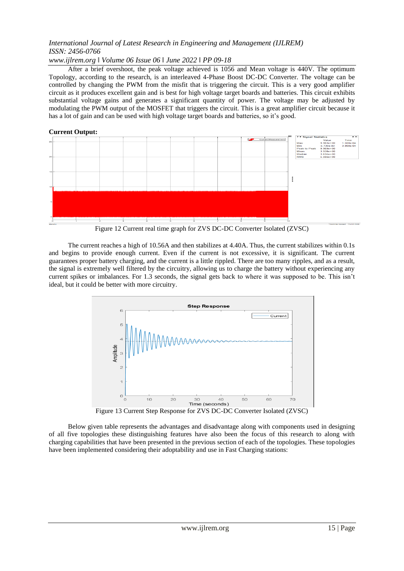#### *www.ijlrem.org ǁ Volume 06 Issue 06 ǁ June 2022 ǁ PP 09-18*

After a brief overshoot, the peak voltage achieved is 1056 and Mean voltage is 440V. The optimum Topology, according to the research, is an interleaved 4-Phase Boost DC-DC Converter. The voltage can be controlled by changing the PWM from the misfit that is triggering the circuit. This is a very good amplifier circuit as it produces excellent gain and is best for high voltage target boards and batteries. This circuit exhibits substantial voltage gains and generates a significant quantity of power. The voltage may be adjusted by modulating the PWM output of the MOSFET that triggers the circuit. This is a great amplifier circuit because it has a lot of gain and can be used with high voltage target boards and batteries, so it's good.

# **Current Output:**

Figure 12 Current real time graph for ZVS DC-DC Converter Isolated (ZVSC)

The current reaches a high of 10.56A and then stabilizes at 4.40A. Thus, the current stabilizes within 0.1s and begins to provide enough current. Even if the current is not excessive, it is significant. The current guarantees proper battery charging, and the current is a little rippled. There are too many ripples, and as a result, the signal is extremely well filtered by the circuitry, allowing us to charge the battery without experiencing any current spikes or imbalances. For 1.3 seconds, the signal gets back to where it was supposed to be. This isn't ideal, but it could be better with more circuitry.



Figure 13 Current Step Response for ZVS DC-DC Converter Isolated (ZVSC)

Below given table represents the advantages and disadvantage along with components used in designing of all five topologies these distinguishing features have also been the focus of this research to along with charging capabilities that have been presented in the previous section of each of the topologies. These topologies have been implemented considering their adoptability and use in Fast Charging stations: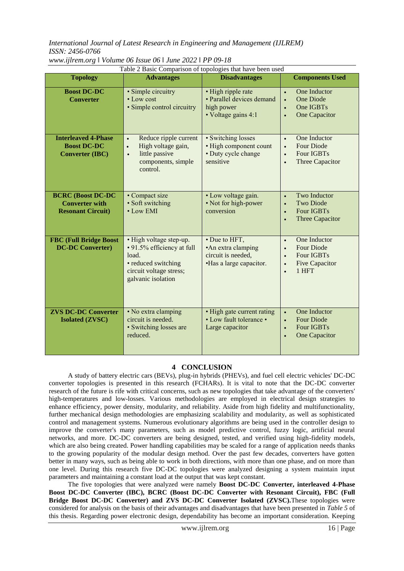| Table 2 Basic Comparison of topologies that have been used                    |                                                                                                                                        |                                                                                      |                                                                                                                                       |
|-------------------------------------------------------------------------------|----------------------------------------------------------------------------------------------------------------------------------------|--------------------------------------------------------------------------------------|---------------------------------------------------------------------------------------------------------------------------------------|
| <b>Topology</b>                                                               | <b>Advantages</b>                                                                                                                      | <b>Disadvantages</b>                                                                 | <b>Components Used</b>                                                                                                                |
| <b>Boost DC-DC</b><br><b>Converter</b>                                        | · Simple circuitry<br>• Low cost<br>· Simple control circuitry                                                                         | · High ripple rate<br>· Parallel devices demand<br>high power<br>· Voltage gains 4:1 | One Inductor<br>$\bullet$<br><b>One Diode</b><br>$\bullet$<br>One IGBTs<br>$\bullet$<br><b>One Capacitor</b>                          |
| <b>Interleaved 4-Phase</b><br><b>Boost DC-DC</b><br><b>Converter (IBC)</b>    | Reduce ripple current<br>$\bullet$<br>High voltage gain,<br>$\bullet$<br>little passive<br>$\bullet$<br>components, simple<br>control. | • Switching losses<br>• High component count<br>• Duty cycle change<br>sensitive     | One Inductor<br>$\bullet$<br><b>Four Diode</b><br>$\bullet$<br><b>Four IGBTs</b><br>$\bullet$<br>Three Capacitor                      |
| <b>BCRC (Boost DC-DC</b><br><b>Converter with</b><br><b>Resonant Circuit)</b> | • Compact size<br>· Soft switching<br>$\bullet$ Low EMI                                                                                | • Low voltage gain.<br>• Not for high-power<br>conversion                            | Two Inductor<br>$\bullet$<br><b>Two Diode</b><br>$\bullet$<br><b>Four IGBTs</b><br>$\bullet$<br>Three Capacitor                       |
| <b>FBC (Full Bridge Boost</b><br><b>DC-DC Converter)</b>                      | • High voltage step-up.<br>• 91.5% efficiency at full<br>load.<br>• reduced switching<br>circuit voltage stress;<br>galvanic isolation | • Due to HFT,<br>•An extra clamping<br>circuit is needed,<br>•Has a large capacitor. | One Inductor<br>$\bullet$<br><b>Four Diode</b><br>$\bullet$<br>Four IGBTs<br>$\bullet$<br><b>Five Capacitor</b><br>$\bullet$<br>1 HFT |
| <b>ZVS DC-DC Converter</b><br><b>Isolated (ZVSC)</b>                          | · No extra clamping<br>circuit is needed.<br>· Switching losses are<br>reduced.                                                        | • High gate current rating<br>• Low fault tolerance •<br>Large capacitor             | One Inductor<br>$\bullet$<br><b>Four Diode</b><br>$\bullet$<br><b>Four IGBTs</b><br>$\bullet$<br>One Capacitor                        |

*www.ijlrem.org ǁ Volume 06 Issue 06 ǁ June 2022 ǁ PP 09-18*

#### **4 CONCLUSION**

A study of battery electric cars (BEVs), plug-in hybrids (PHEVs), and fuel cell electric vehicles' DC-DC converter topologies is presented in this research (FCHARs). It is vital to note that the DC-DC converter research of the future is rife with critical concerns, such as new topologies that take advantage of the converters' high-temperatures and low-losses. Various methodologies are employed in electrical design strategies to enhance efficiency, power density, modularity, and reliability. Aside from high fidelity and multifunctionality, further mechanical design methodologies are emphasizing scalability and modularity, as well as sophisticated control and management systems. Numerous evolutionary algorithms are being used in the controller design to improve the converter's many parameters, such as model predictive control, fuzzy logic, artificial neural networks, and more. DC-DC converters are being designed, tested, and verified using high-fidelity models, which are also being created. Power handling capabilities may be scaled for a range of application needs thanks to the growing popularity of the modular design method. Over the past few decades, converters have gotten better in many ways, such as being able to work in both directions, with more than one phase, and on more than one level. During this research five DC-DC topologies were analyzed designing a system maintain input parameters and maintaining a constant load at the output that was kept constant.

The five topologies that were analyzed were namely **Boost DC-DC Converter, interleaved 4-Phase Boost DC-DC Converter (IBC), BCRC (Boost DC-DC Converter with Resonant Circuit), FBC (Full Bridge Boost DC-DC Converter) and ZVS DC-DC Converter Isolated (ZVSC).**These topologies were considered for analysis on the basis of their advantages and disadvantages that have been presented in *Table 5* of this thesis. Regarding power electronic design, dependability has become an important consideration. Keeping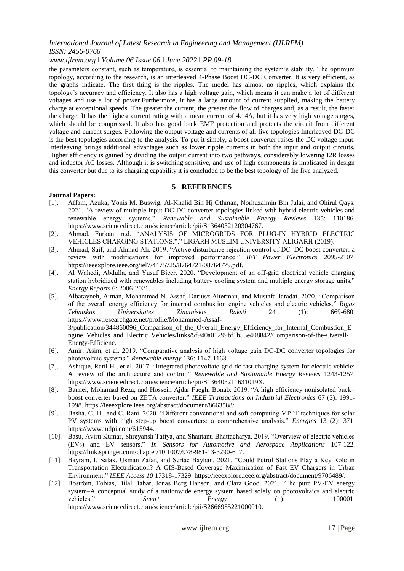### *www.ijlrem.org ǁ Volume 06 Issue 06 ǁ June 2022 ǁ PP 09-18*

the parameters constant, such as temperature, is essential to maintaining the system's stability. The optimum topology, according to the research, is an interleaved 4-Phase Boost DC-DC Converter. It is very efficient, as the graphs indicate. The first thing is the ripples. The model has almost no ripples, which explains the topology's accuracy and efficiency. It also has a high voltage gain, which means it can make a lot of different voltages and use a lot of power.Furthermore, it has a large amount of current supplied, making the battery charge at exceptional speeds. The greater the current, the greater the flow of charges and, as a result, the faster the charge. It has the highest current rating with a mean current of 4.14A, but it has very high voltage surges, which should be compressed. It also has good back EMF protection and protects the circuit from different voltage and current surges. Following the output voltage and currents of all five topologies Interleaved DC-DC is the best topologies according to the analysis. To put it simply, a boost converter raises the DC voltage input. Interleaving brings additional advantages such as lower ripple currents in both the input and output circuits. Higher efficiency is gained by dividing the output current into two pathways, considerably lowering I2R losses and inductor AC losses. Although it is switching sensitive, and use of high components is implicated in design this converter but due to its charging capability it is concluded to be the best topology of the five analyzed.

#### **5 REFERENCES**

#### **Journal Papers:**

- [1]. Affam, Azuka, Yonis M. Buswig, Al-Khalid Bin Hj Othman, Norhuzaimin Bin Julai, and Ohirul Qays. 2021. "A review of multiple-input DC-DC converter topologies linked with hybrid electric vehicles and renewable energy systems." *Renewable and Sustainable Energy Reviews* 135: 110186. https://www.sciencedirect.com/science/article/pii/S1364032120304767.
- [2]. Ahmad, Furkan. n.d. "ANALYSIS OF MICROGRIDS FOR PLUG-IN HYBRID ELECTRIC VEHICLES CHARGING STATIONS."." LIGARH MUSLIM UNIVERSITY ALIGARH (2019).
- [3]. Ahmad, Saif, and Ahmad Ali. 2019. "Active disturbance rejection control of DC–DC boost converter: a review with modifications for improved performance." *IET Power Electronics* 2095-2107. https://ieeexplore.ieee.org/iel7/4475725/8764721/08764779.pdf.
- [4]. Al Wahedi, Abdulla, and Yusuf Bicer. 2020. "Development of an off-grid electrical vehicle charging station hybridized with renewables including battery cooling system and multiple energy storage units." *Energy Reports* 6: 2006-2021.
- [5]. Albatayneh, Aiman, Mohammad N. Assaf, Dariusz Alterman, and Mustafa Jaradat. 2020. "Comparison of the overall energy efficiency for internal combustion engine vehicles and electric vehicles." *Rigas Tehniskas Universitates Zinatniskie Raksti* 24 (1): 669-680. https://www.researchgate.net/profile/Mohammed-Assaf-3/publication/344860096\_Comparison\_of\_the\_Overall\_Energy\_Efficiency\_for\_Internal\_Combustion\_E ngine\_Vehicles\_and\_Electric\_Vehicles/links/5f940a01299bf1b53e408842/Comparison-of-the-Overall-Energy-Efficienc.
- [6]. Amir, Asim, et al. 2019. "Comparative analysis of high voltage gain DC-DC converter topologies for photovoltaic systems." *Renewable energy* 136: 1147-1163.
- [7]. Ashique, Ratil H., et al. 2017. "Integrated photovoltaic-grid dc fast charging system for electric vehicle: A review of the architecture and control." *Renewable and Sustainable Energy Reviews* 1243-1257. https://www.sciencedirect.com/science/article/pii/S136403211631019X.
- [8]. Banaei, Mohamad Reza, and Hossein Ajdar Faeghi Bonab. 2019. "A high efficiency nonisolated buck– boost converter based on ZETA converter." *IEEE Transactions on Industrial Electronics* 67 (3): 1991- 1998. https://ieeexplore.ieee.org/abstract/document/8663588/.
- [9]. Basha, C. H., and C. Rani. 2020. "Different conventional and soft computing MPPT techniques for solar PV systems with high step-up boost converters: a comprehensive analysis." *Energies* 13 (2): 371. https://www.mdpi.com/615944.
- [10]. Basu, Aviru Kumar, Shreyansh Tatiya, and Shantanu Bhattacharya. 2019. "Overview of electric vehicles (EVs) and EV sensors." *In Sensors for Automotive and Aerospace Applications* 107-122. https://link.springer.com/chapter/10.1007/978-981-13-3290-6\_7.
- [11]. Bayram, I. Safak, Usman Zafar, and Sertac Bayhan. 2021. "Could Petrol Stations Play a Key Role in Transportation Electrification? A GIS-Based Coverage Maximization of Fast EV Chargers in Urban Environment." *IEEE Access 10* 17318-17329. https://ieeexplore.ieee.org/abstract/document/9706489/.
- [12]. Boström, Tobias, Bilal Babar, Jonas Berg Hansen, and Clara Good. 2021. "The pure PV-EV energy system–A conceptual study of a nationwide energy system based solely on photovoltaics and electric vehicles." *Smart Energy* (1): 100001. https://www.sciencedirect.com/science/article/pii/S2666955221000010.